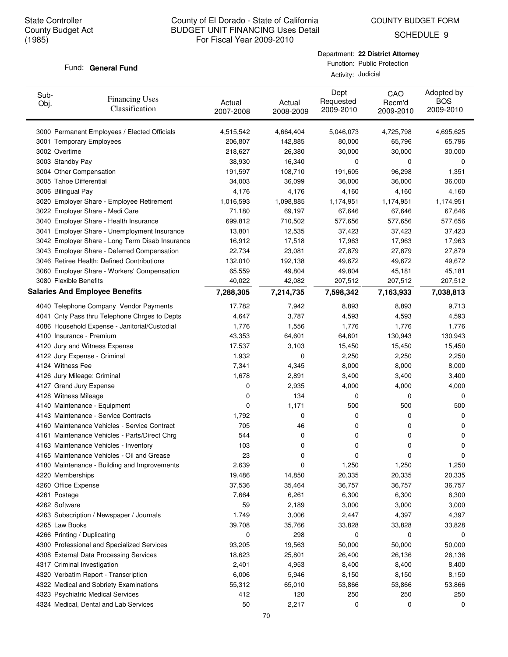COUNTY BUDGET FORM

SCHEDULE 9

#### Fund: General Fund

Department: **22 District Attorney** Function: Public Protection

Activity: Judicial

| Sub-<br>Obj. | <b>Financing Uses</b><br>Classification         | Actual<br>2007-2008 | Actual<br>2008-2009 | Dept<br>Requested<br>2009-2010 | CAO<br>Recm'd<br>2009-2010 | Adopted by<br><b>BOS</b><br>2009-2010 |
|--------------|-------------------------------------------------|---------------------|---------------------|--------------------------------|----------------------------|---------------------------------------|
|              | 3000 Permanent Employees / Elected Officials    | 4,515,542           | 4,664,404           | 5,046,073                      | 4,725,798                  | 4,695,625                             |
|              | 3001 Temporary Employees                        | 206,807             | 142,885             | 80,000                         | 65,796                     | 65,796                                |
|              | 3002 Overtime                                   | 218,627             | 26,380              | 30,000                         | 30,000                     | 30,000                                |
|              | 3003 Standby Pay                                | 38,930              | 16,340              | 0                              | 0                          | 0                                     |
|              | 3004 Other Compensation                         | 191,597             | 108,710             | 191,605                        | 96,298                     | 1,351                                 |
|              | 3005 Tahoe Differential                         | 34,003              | 36,099              | 36,000                         | 36,000                     | 36,000                                |
|              | 3006 Bilingual Pay                              | 4,176               | 4,176               | 4,160                          | 4,160                      | 4,160                                 |
|              | 3020 Employer Share - Employee Retirement       | 1,016,593           | 1,098,885           | 1,174,951                      | 1,174,951                  | 1,174,951                             |
|              | 3022 Employer Share - Medi Care                 | 71,180              | 69,197              | 67,646                         | 67,646                     | 67,646                                |
|              | 3040 Employer Share - Health Insurance          | 699,812             | 710,502             | 577,656                        | 577,656                    | 577,656                               |
|              | 3041 Employer Share - Unemployment Insurance    | 13,801              | 12,535              | 37,423                         | 37,423                     | 37,423                                |
|              | 3042 Employer Share - Long Term Disab Insurance | 16,912              | 17,518              | 17,963                         | 17,963                     | 17,963                                |
|              | 3043 Employer Share - Deferred Compensation     | 22,734              | 23,081              | 27,879                         | 27,879                     | 27,879                                |
|              | 3046 Retiree Health: Defined Contributions      | 132,010             | 192,138             | 49,672                         | 49,672                     | 49,672                                |
|              | 3060 Employer Share - Workers' Compensation     | 65,559              | 49,804              | 49,804                         | 45,181                     | 45,181                                |
|              | 3080 Flexible Benefits                          | 40,022              | 42,082              | 207,512                        | 207,512                    | 207,512                               |
|              | <b>Salaries And Employee Benefits</b>           | 7,288,305           | 7,214,735           | 7,598,342                      | 7,163,933                  | 7,038,813                             |
|              | 4040 Telephone Company Vendor Payments          | 17,782              | 7,942               | 8,893                          | 8,893                      | 9,713                                 |
|              | 4041 Cnty Pass thru Telephone Chrges to Depts   | 4,647               | 3,787               | 4,593                          | 4,593                      | 4,593                                 |
|              | 4086 Household Expense - Janitorial/Custodial   | 1,776               | 1,556               | 1,776                          | 1,776                      | 1,776                                 |
|              | 4100 Insurance - Premium                        | 43,353              | 64,601              | 64,601                         | 130,943                    | 130,943                               |
|              | 4120 Jury and Witness Expense                   | 17,537              | 3,103               | 15,450                         | 15,450                     | 15,450                                |
|              | 4122 Jury Expense - Criminal                    | 1,932               | 0                   | 2,250                          | 2,250                      | 2,250                                 |
|              | 4124 Witness Fee                                | 7,341               | 4,345               | 8,000                          | 8,000                      | 8,000                                 |
|              | 4126 Jury Mileage: Criminal                     | 1,678               | 2,891               | 3,400                          | 3,400                      | 3,400                                 |
|              | 4127 Grand Jury Expense                         | 0                   | 2,935               | 4,000                          | 4,000                      | 4,000                                 |
|              | 4128 Witness Mileage                            | 0                   | 134                 | 0                              | 0                          | 0                                     |
|              | 4140 Maintenance - Equipment                    | 0                   | 1,171               | 500                            | 500                        | 500                                   |
|              | 4143 Maintenance - Service Contracts            | 1,792               | 0                   | 0                              | 0                          | 0                                     |
|              | 4160 Maintenance Vehicles - Service Contract    | 705                 | 46                  | 0                              | 0                          | 0                                     |
|              | 4161 Maintenance Vehicles - Parts/Direct Chrg   | 544                 | 0                   | 0                              | 0                          | 0                                     |
|              | 4163 Maintenance Vehicles - Inventory           | 103                 | 0                   | 0                              | 0                          | 0                                     |
|              | 4165 Maintenance Vehicles - Oil and Grease      | 23                  | 0                   | 0                              | 0                          | 0                                     |
|              | 4180 Maintenance - Building and Improvements    | 2,639               | 0                   | 1,250                          | 1,250                      | 1,250                                 |
|              | 4220 Memberships                                | 19,486              | 14,850              | 20,335                         | 20,335                     | 20,335                                |
|              | 4260 Office Expense                             | 37,536              | 35,464              | 36,757                         | 36,757                     | 36,757                                |
|              | 4261 Postage                                    | 7,664               | 6,261               | 6,300                          | 6,300                      | 6,300                                 |
|              | 4262 Software                                   | 59                  | 2,189               | 3,000                          | 3,000                      | 3,000                                 |
|              | 4263 Subscription / Newspaper / Journals        | 1,749               | 3,006               | 2,447                          | 4,397                      | 4,397                                 |
|              | 4265 Law Books                                  | 39,708              | 35,766              | 33,828                         | 33,828                     | 33,828                                |
|              | 4266 Printing / Duplicating                     | 0                   | 298                 | 0                              | 0                          | 0                                     |
|              | 4300 Professional and Specialized Services      | 93,205              | 19,563              | 50,000                         | 50,000                     | 50,000                                |
|              | 4308 External Data Processing Services          | 18,623              | 25,801              | 26,400                         | 26,136                     | 26,136                                |
|              | 4317 Criminal Investigation                     | 2,401               | 4,953               | 8,400                          | 8,400                      | 8,400                                 |
|              | 4320 Verbatim Report - Transcription            | 6,006               | 5,946               | 8,150                          | 8,150                      | 8,150                                 |
|              | 4322 Medical and Sobriety Examinations          | 55,312              | 65,010              | 53,866                         | 53,866                     | 53,866                                |
|              | 4323 Psychiatric Medical Services               | 412                 | 120                 | 250                            | 250                        | 250                                   |
|              | 4324 Medical, Dental and Lab Services           | 50                  | 2,217               | 0                              | 0                          | 0                                     |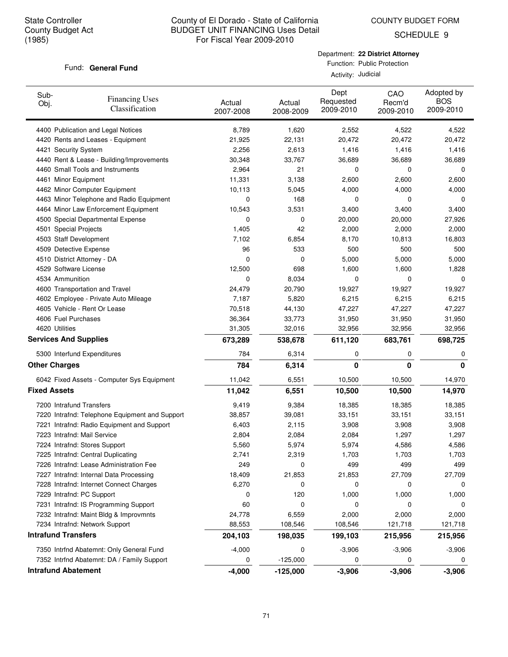COUNTY BUDGET FORM

SCHEDULE 9

### Fund: General Fund

Department: **22 District Attorney** Function: Public Protection  $Ac$ 

| Sub-<br>Obj.               | <b>Financing Uses</b><br>Classification        | Actual<br>2007-2008 | Actual<br>2008-2009 | Dept<br>Requested<br>2009-2010 | CAO<br>Recm'd<br>2009-2010 | Adopted by<br><b>BOS</b><br>2009-2010 |
|----------------------------|------------------------------------------------|---------------------|---------------------|--------------------------------|----------------------------|---------------------------------------|
|                            | 4400 Publication and Legal Notices             | 8,789               | 1,620               | 2,552                          | 4,522                      | 4,522                                 |
|                            | 4420 Rents and Leases - Equipment              | 21,925              | 22,131              | 20,472                         | 20,472                     | 20,472                                |
|                            | 4421 Security System                           | 2,256               | 2,613               | 1,416                          | 1,416                      | 1,416                                 |
|                            | 4440 Rent & Lease - Building/Improvements      | 30,348              | 33,767              | 36,689                         | 36,689                     | 36,689                                |
|                            | 4460 Small Tools and Instruments               | 2,964               | 21                  | 0                              | 0                          | 0                                     |
|                            | 4461 Minor Equipment                           | 11,331              | 3,138               | 2,600                          | 2,600                      | 2,600                                 |
|                            | 4462 Minor Computer Equipment                  | 10,113              | 5,045               | 4,000                          | 4,000                      | 4,000                                 |
|                            | 4463 Minor Telephone and Radio Equipment       | 0                   | 168                 | 0                              | 0                          | 0                                     |
|                            | 4464 Minor Law Enforcement Equipment           | 10,543              | 3,531               | 3,400                          | 3,400                      | 3,400                                 |
|                            | 4500 Special Departmental Expense              | 0                   | 0                   | 20,000                         | 20,000                     | 27,926                                |
|                            | 4501 Special Projects                          | 1,405               | 42                  | 2,000                          | 2,000                      | 2,000                                 |
|                            | 4503 Staff Development                         | 7,102               | 6,854               | 8,170                          | 10,813                     | 16,803                                |
|                            | 4509 Detective Expense                         | 96                  | 533                 | 500                            | 500                        | 500                                   |
|                            | 4510 District Attorney - DA                    | 0                   | 0                   | 5,000                          | 5,000                      | 5,000                                 |
|                            | 4529 Software License                          | 12,500              | 698                 | 1,600                          | 1,600                      | 1,828                                 |
| 4534 Ammunition            |                                                | 0                   | 8,034               | 0                              | 0                          | 0                                     |
|                            | 4600 Transportation and Travel                 | 24,479              | 20,790              | 19,927                         | 19,927                     | 19,927                                |
|                            | 4602 Employee - Private Auto Mileage           | 7,187               | 5,820               | 6,215                          | 6,215                      | 6,215                                 |
|                            | 4605 Vehicle - Rent Or Lease                   | 70,518              | 44,130              | 47,227                         | 47,227                     | 47,227                                |
|                            | 4606 Fuel Purchases                            | 36,364              | 33,773              | 31,950                         | 31,950                     | 31,950                                |
| 4620 Utilities             |                                                | 31,305              | 32,016              | 32,956                         | 32,956                     | 32,956                                |
|                            | <b>Services And Supplies</b>                   | 673,289             | 538,678             | 611,120                        | 683,761                    | 698,725                               |
|                            | 5300 Interfund Expenditures                    | 784                 | 6,314               | 0                              | 0                          | 0                                     |
| <b>Other Charges</b>       |                                                | 784                 | 6,314               | 0                              | 0                          | $\mathbf{0}$                          |
|                            | 6042 Fixed Assets - Computer Sys Equipment     | 11,042              | 6,551               | 10,500                         | 10,500                     | 14,970                                |
| <b>Fixed Assets</b>        |                                                | 11,042              | 6,551               | 10,500                         | 10,500                     | 14,970                                |
|                            | 7200 Intrafund Transfers                       | 9,419               | 9,384               | 18,385                         | 18,385                     | 18,385                                |
|                            | 7220 Intrafnd: Telephone Equipment and Support | 38,857              | 39,081              | 33,151                         | 33,151                     | 33,151                                |
|                            | 7221 Intrafnd: Radio Equipment and Support     | 6,403               | 2,115               | 3,908                          | 3,908                      | 3,908                                 |
|                            | 7223 Intrafnd: Mail Service                    | 2,804               | 2,084               | 2,084                          | 1,297                      | 1,297                                 |
|                            | 7224 Intrafnd: Stores Support                  | 5,560               | 5,974               | 5,974                          | 4,586                      | 4,586                                 |
|                            | 7225 Intrafnd: Central Duplicating             | 2,741               | 2,319               | 1,703                          | 1,703                      | 1,703                                 |
|                            | 7226 Intrafnd: Lease Administration Fee        | 249                 | 0                   | 499                            | 499                        | 499                                   |
|                            | 7227 Intrafnd: Internal Data Processing        | 18,409              | 21,853              | 21,853                         | 27,709                     | 27,709                                |
|                            | 7228 Intrafnd: Internet Connect Charges        | 6,270               | 0                   | 0                              | 0                          | 0                                     |
|                            | 7229 Intrafnd: PC Support                      | 0                   | 120                 | 1,000                          | 1,000                      | 1,000                                 |
|                            | 7231 Intrafnd: IS Programming Support          | 60                  | 0                   | 0                              | 0                          | 0                                     |
|                            | 7232 Intrafnd: Maint Bldg & Improvmnts         | 24,778              | 6,559               | 2,000                          | 2,000                      | 2,000                                 |
|                            | 7234 Intrafnd: Network Support                 | 88,553              | 108,546             | 108,546                        | 121,718                    | 121,718                               |
| <b>Intrafund Transfers</b> |                                                | 204,103             | 198,035             | 199,103                        | 215,956                    | 215,956                               |
|                            | 7350 Intrfnd Abatemnt: Only General Fund       | $-4,000$            | 0                   | $-3,906$                       | $-3,906$                   | $-3,906$                              |
|                            | 7352 Intrfnd Abatemnt: DA / Family Support     | 0                   | $-125,000$          | 0                              | 0                          | 0                                     |
| <b>Intrafund Abatement</b> |                                                | $-4,000$            | $-125,000$          | $-3,906$                       | $-3,906$                   | $-3,906$                              |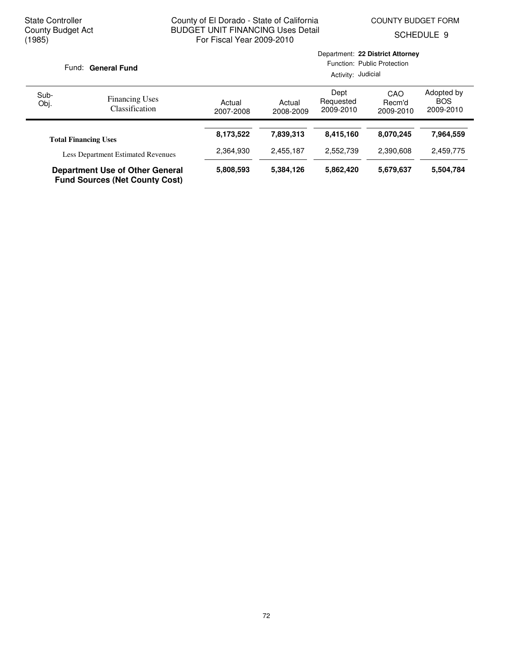SCHEDULE 9

| Fund: General Fund                                                              |                                           | Department: 22 District Attorney<br>Function: Public Protection<br>Activity: Judicial |                     |                                |                            |                                       |  |
|---------------------------------------------------------------------------------|-------------------------------------------|---------------------------------------------------------------------------------------|---------------------|--------------------------------|----------------------------|---------------------------------------|--|
| Sub-<br>Obj.                                                                    | <b>Financing Uses</b><br>Classification   | Actual<br>2007-2008                                                                   | Actual<br>2008-2009 | Dept<br>Requested<br>2009-2010 | CAO<br>Recm'd<br>2009-2010 | Adopted by<br><b>BOS</b><br>2009-2010 |  |
|                                                                                 | <b>Total Financing Uses</b>               | 8,173,522                                                                             | 7,839,313           | 8,415,160                      | 8.070.245                  | 7,964,559                             |  |
|                                                                                 | <b>Less Department Estimated Revenues</b> | 2,364,930                                                                             | 2,455,187           | 2.552.739                      | 2.390.608                  | 2,459,775                             |  |
| <b>Department Use of Other General</b><br><b>Fund Sources (Net County Cost)</b> |                                           | 5,808,593                                                                             | 5,384,126           | 5,862,420                      | 5,679,637                  | 5,504,784                             |  |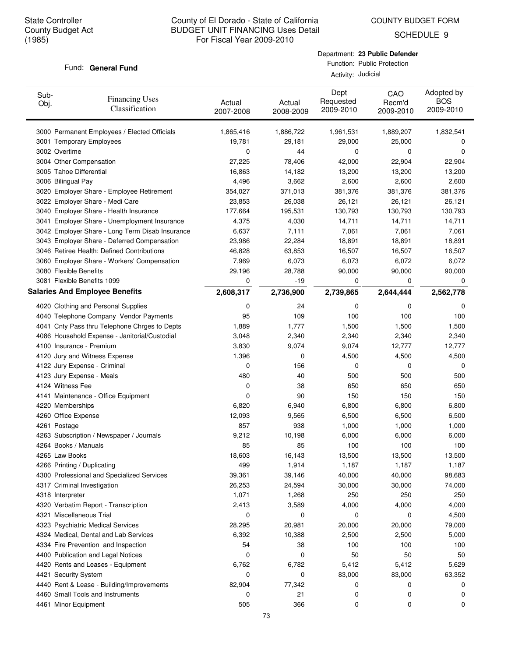COUNTY BUDGET FORM

SCHEDULE 9

#### Fund: General Fund

Department: **23 Public Defender** Function: Public Protection

Activity: Judicial

| Sub-<br>Obj. | <b>Financing Uses</b><br>Classification         | Actual<br>2007-2008 | Actual<br>2008-2009 | Dept<br>Requested<br>2009-2010 | CAO<br>Recm'd<br>2009-2010 | Adopted by<br><b>BOS</b><br>2009-2010 |
|--------------|-------------------------------------------------|---------------------|---------------------|--------------------------------|----------------------------|---------------------------------------|
|              | 3000 Permanent Employees / Elected Officials    | 1,865,416           | 1,886,722           | 1,961,531                      | 1,889,207                  | 1,832,541                             |
|              | 3001 Temporary Employees                        | 19,781              | 29,181              | 29,000                         | 25,000                     | 0                                     |
|              | 3002 Overtime                                   | 0                   | 44                  | 0                              | 0                          | 0                                     |
|              | 3004 Other Compensation                         | 27,225              | 78,406              | 42,000                         | 22,904                     | 22,904                                |
|              | 3005 Tahoe Differential                         | 16,863              | 14,182              | 13,200                         | 13,200                     | 13,200                                |
|              | 3006 Bilingual Pay                              | 4,496               | 3,662               | 2,600                          | 2,600                      | 2,600                                 |
|              | 3020 Employer Share - Employee Retirement       | 354,027             | 371,013             | 381,376                        | 381,376                    | 381,376                               |
|              | 3022 Employer Share - Medi Care                 | 23,853              | 26,038              | 26,121                         | 26,121                     | 26,121                                |
|              | 3040 Employer Share - Health Insurance          | 177,664             | 195,531             | 130,793                        | 130,793                    | 130,793                               |
|              | 3041 Employer Share - Unemployment Insurance    | 4,375               | 4,030               | 14,711                         | 14,711                     | 14,711                                |
|              | 3042 Employer Share - Long Term Disab Insurance | 6,637               | 7,111               | 7,061                          | 7,061                      | 7,061                                 |
|              | 3043 Employer Share - Deferred Compensation     | 23,986              | 22,284              | 18,891                         | 18,891                     | 18,891                                |
|              | 3046 Retiree Health: Defined Contributions      | 46,828              | 63,853              | 16,507                         | 16,507                     | 16,507                                |
|              | 3060 Employer Share - Workers' Compensation     | 7,969               | 6,073               | 6,073                          | 6,072                      | 6,072                                 |
|              | 3080 Flexible Benefits                          | 29,196              | 28,788              | 90,000                         | 90,000                     | 90,000                                |
|              | 3081 Flexible Benefits 1099                     | 0                   | $-19$               | 0                              | 0                          | 0                                     |
|              | <b>Salaries And Employee Benefits</b>           | 2,608,317           | 2,736,900           | 2,739,865                      | 2,644,444                  | 2,562,778                             |
|              | 4020 Clothing and Personal Supplies             | 0                   | 24                  | 0                              | 0                          | 0                                     |
|              | 4040 Telephone Company Vendor Payments          | 95                  | 109                 | 100                            | 100                        | 100                                   |
|              | 4041 Cnty Pass thru Telephone Chrges to Depts   | 1,889               | 1,777               | 1,500                          | 1,500                      | 1,500                                 |
|              | 4086 Household Expense - Janitorial/Custodial   | 3,048               | 2,340               | 2,340                          | 2,340                      | 2,340                                 |
|              | 4100 Insurance - Premium                        | 3,830               | 9,074               | 9,074                          | 12,777                     | 12,777                                |
|              | 4120 Jury and Witness Expense                   | 1,396               | 0                   | 4,500                          | 4,500                      | 4,500                                 |
|              | 4122 Jury Expense - Criminal                    | 0                   | 156                 | 0                              | 0                          | 0                                     |
|              | 4123 Jury Expense - Meals                       | 480                 | 40                  | 500                            | 500                        | 500                                   |
|              | 4124 Witness Fee                                | 0                   | 38                  | 650                            | 650                        | 650                                   |
|              | 4141 Maintenance - Office Equipment             | 0                   | 90                  | 150                            | 150                        | 150                                   |
|              | 4220 Memberships                                | 6,820               | 6,940               | 6,800                          | 6,800                      | 6,800                                 |
|              | 4260 Office Expense                             | 12,093              | 9,565               | 6,500                          | 6,500                      | 6,500                                 |
|              | 4261 Postage                                    | 857                 | 938                 | 1,000                          | 1,000                      | 1,000                                 |
|              | 4263 Subscription / Newspaper / Journals        | 9,212               | 10,198              | 6,000                          | 6,000                      | 6,000                                 |
|              | 4264 Books / Manuals                            | 85                  | 85                  | 100                            | 100                        | 100                                   |
|              | 4265 Law Books                                  | 18,603              | 16,143              | 13,500                         | 13,500                     | 13,500                                |
|              | 4266 Printing / Duplicating                     | 499                 | 1,914               | 1,187                          | 1,187                      | 1,187                                 |
|              | 4300 Professional and Specialized Services      | 39,361              | 39,146              | 40,000                         | 40,000                     | 98,683                                |
|              | 4317 Criminal Investigation                     | 26,253              | 24,594              | 30,000                         | 30,000                     | 74,000                                |
|              | 4318 Interpreter                                | 1,071               | 1,268               | 250                            | 250                        | 250                                   |
|              | 4320 Verbatim Report - Transcription            | 2,413               | 3,589               | 4,000                          | 4,000                      | 4,000                                 |
|              | 4321 Miscellaneous Trial                        | 0                   | 0                   | 0                              | 0                          | 4,500                                 |
|              | 4323 Psychiatric Medical Services               | 28,295              | 20,981              | 20,000                         | 20,000                     | 79,000                                |
|              | 4324 Medical, Dental and Lab Services           | 6,392               | 10,388              | 2,500                          | 2,500                      | 5,000                                 |
|              | 4334 Fire Prevention and Inspection             | 54                  | 38                  | 100                            | 100                        | 100                                   |
|              | 4400 Publication and Legal Notices              | 0                   | 0                   | 50                             | 50                         | 50                                    |
|              | 4420 Rents and Leases - Equipment               | 6,762               | 6,782               | 5,412                          | 5,412                      | 5,629                                 |
|              | 4421 Security System                            | 0                   | 0                   | 83,000                         | 83,000                     | 63,352                                |
|              | 4440 Rent & Lease - Building/Improvements       | 82,904              | 77,342              | 0                              | 0                          | 0                                     |
|              | 4460 Small Tools and Instruments                | 0                   | 21                  | 0                              | 0                          | 0                                     |
|              | 4461 Minor Equipment                            | 505                 | 366                 | 0                              | 0                          | 0                                     |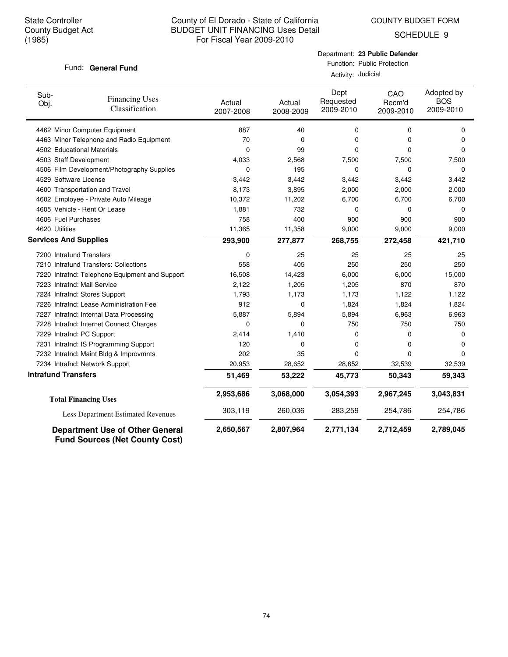COUNTY BUDGET FORM

SCHEDULE 9

#### Fund: General Fund

Department: **23 Public Defender** Function: Public Protection

Activity: Judicial

| Sub-<br>Obj.                 | <b>Financing Uses</b><br>Classification                                         | Actual<br>2007-2008 | Actual<br>2008-2009 | Dept<br>Requested<br>2009-2010 | CAO<br>Recm'd<br>2009-2010 | Adopted by<br><b>BOS</b><br>2009-2010 |
|------------------------------|---------------------------------------------------------------------------------|---------------------|---------------------|--------------------------------|----------------------------|---------------------------------------|
|                              | 4462 Minor Computer Equipment                                                   | 887                 | 40                  | 0                              | 0                          | 0                                     |
|                              | 4463 Minor Telephone and Radio Equipment                                        | 70                  | 0                   | 0                              | 0                          | 0                                     |
|                              | 4502 Educational Materials                                                      | 0                   | 99                  | 0                              | 0                          | 0                                     |
| 4503 Staff Development       |                                                                                 | 4,033               | 2,568               | 7,500                          | 7,500                      | 7,500                                 |
|                              | 4506 Film Development/Photography Supplies                                      | 0                   | 195                 | $\mathbf 0$                    | $\mathbf 0$                | 0                                     |
| 4529 Software License        |                                                                                 | 3,442               | 3,442               | 3,442                          | 3,442                      | 3,442                                 |
|                              | 4600 Transportation and Travel                                                  | 8,173               | 3,895               | 2,000                          | 2,000                      | 2,000                                 |
|                              | 4602 Employee - Private Auto Mileage                                            | 10,372              | 11,202              | 6,700                          | 6,700                      | 6,700                                 |
|                              | 4605 Vehicle - Rent Or Lease                                                    | 1,881               | 732                 | 0                              | $\Omega$                   | 0                                     |
| 4606 Fuel Purchases          |                                                                                 | 758                 | 400                 | 900                            | 900                        | 900                                   |
| 4620 Utilities               |                                                                                 | 11,365              | 11,358              | 9,000                          | 9,000                      | 9,000                                 |
| <b>Services And Supplies</b> |                                                                                 | 293,900             | 277,877             | 268,755                        | 272,458                    | 421,710                               |
| 7200 Intrafund Transfers     |                                                                                 | 0                   | 25                  | 25                             | 25                         | 25                                    |
|                              | 7210 Intrafund Transfers: Collections                                           | 558                 | 405                 | 250                            | 250                        | 250                                   |
|                              | 7220 Intrafnd: Telephone Equipment and Support                                  | 16,508              | 14,423              | 6,000                          | 6,000                      | 15,000                                |
|                              | 7223 Intrafnd: Mail Service                                                     | 2,122               | 1,205               | 1,205                          | 870                        | 870                                   |
|                              | 7224 Intrafnd: Stores Support                                                   | 1,793               | 1,173               | 1,173                          | 1,122                      | 1,122                                 |
|                              | 7226 Intrafnd: Lease Administration Fee                                         | 912                 | 0                   | 1,824                          | 1,824                      | 1,824                                 |
|                              | 7227 Intrafnd: Internal Data Processing                                         | 5,887               | 5,894               | 5,894                          | 6,963                      | 6,963                                 |
|                              | 7228 Intrafnd: Internet Connect Charges                                         | 0                   | 0                   | 750                            | 750                        | 750                                   |
|                              | 7229 Intrafnd: PC Support                                                       | 2,414               | 1,410               | 0                              | 0                          | 0                                     |
|                              | 7231 Intrafnd: IS Programming Support                                           | 120                 | 0                   | 0                              | 0                          | 0                                     |
|                              | 7232 Intrafnd: Maint Bldg & Improvmnts                                          | 202                 | 35                  | 0                              | 0                          | $\Omega$                              |
|                              | 7234 Intrafnd: Network Support                                                  | 20,953              | 28,652              | 28,652                         | 32,539                     | 32,539                                |
| <b>Intrafund Transfers</b>   |                                                                                 | 51,469              | 53,222              | 45,773                         | 50,343                     | 59,343                                |
|                              | <b>Total Financing Uses</b>                                                     | 2,953,686           | 3,068,000           | 3,054,393                      | 2,967,245                  | 3,043,831                             |
|                              | Less Department Estimated Revenues                                              | 303,119             | 260,036             | 283,259                        | 254,786                    | 254,786                               |
|                              | <b>Department Use of Other General</b><br><b>Fund Sources (Net County Cost)</b> | 2,650,567           | 2,807,964           | 2,771,134                      | 2,712,459                  | 2,789,045                             |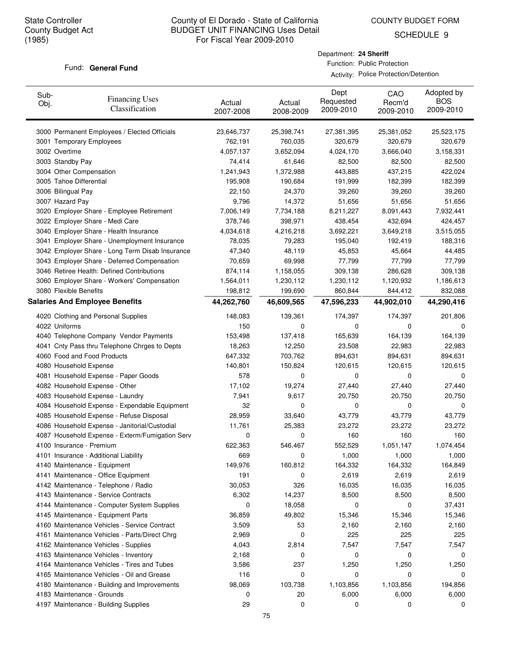COUNTY BUDGET FORM

SCHEDULE 9

#### Fund: General Fund

Department: **24 Sheriff** Function: Public Protection

Activity: Police Protection/Detention

| Sub-<br>Obj. | <b>Financing Uses</b><br>Classification         | Actual<br>2007-2008 | Actual<br>2008-2009 | Dept<br>Requested<br>2009-2010 | CAO<br>Recm'd<br>2009-2010 | Adopted by<br><b>BOS</b><br>2009-2010 |
|--------------|-------------------------------------------------|---------------------|---------------------|--------------------------------|----------------------------|---------------------------------------|
|              | 3000 Permanent Employees / Elected Officials    | 23,646,737          | 25,398,741          | 27,381,395                     | 25,381,052                 | 25,523,175                            |
|              | 3001 Temporary Employees                        | 762,191             | 760,035             | 320,679                        | 320,679                    | 320,679                               |
|              | 3002 Overtime                                   | 4,057,137           | 3,652,094           | 4,024,170                      | 3,666,040                  | 3,158,331                             |
|              | 3003 Standby Pay                                | 74,414              | 61,646              | 82,500                         | 82,500                     | 82,500                                |
|              | 3004 Other Compensation                         | 1,241,943           | 1,372,988           | 443,885                        | 437,215                    | 422,024                               |
|              | 3005 Tahoe Differential                         | 195,908             | 190,684             | 191,999                        | 182,399                    | 182,399                               |
|              | 3006 Bilingual Pay                              | 22,150              | 24,370              | 39,260                         | 39,260                     | 39,260                                |
|              | 3007 Hazard Pay                                 | 9,796               | 14,372              | 51,656                         | 51,656                     | 51,656                                |
|              | 3020 Employer Share - Employee Retirement       | 7,006,149           | 7,734,188           | 8,211,227                      | 8,091,443                  | 7,932,441                             |
|              | 3022 Employer Share - Medi Care                 | 378,746             | 398,971             | 438,454                        | 432,694                    | 424,457                               |
|              | 3040 Employer Share - Health Insurance          | 4,034,618           | 4,216,218           | 3,692,221                      | 3,649,218                  | 3,515,055                             |
|              | 3041 Employer Share - Unemployment Insurance    | 78,035              | 79,283              | 195,040                        | 192,419                    | 188,316                               |
|              | 3042 Employer Share - Long Term Disab Insurance | 47,340              | 48,119              | 45,853                         | 45,664                     | 44,485                                |
|              | 3043 Employer Share - Deferred Compensation     | 70,659              | 69,998              | 77,799                         | 77,799                     | 77,799                                |
|              | 3046 Retiree Health: Defined Contributions      | 874,114             | 1,158,055           | 309,138                        | 286,628                    | 309,138                               |
|              | 3060 Employer Share - Workers' Compensation     | 1,564,011           | 1,230,112           | 1,230,112                      | 1,120,932                  | 1,186,613                             |
|              | 3080 Flexible Benefits                          | 198,812             | 199,690             | 860,844                        | 844,412                    | 832,088                               |
|              | <b>Salaries And Employee Benefits</b>           | 44,262,760          | 46,609,565          | 47,596,233                     | 44,902,010                 | 44,290,416                            |
|              | 4020 Clothing and Personal Supplies             | 148,083             | 139,361             | 174,397                        | 174,397                    | 201,806                               |
|              | 4022 Uniforms                                   | 150                 | 0                   | 0                              | 0                          | 0                                     |
|              | 4040 Telephone Company Vendor Payments          | 153,498             | 137,418             | 165,639                        | 164,139                    | 164,139                               |
|              | 4041 Cnty Pass thru Telephone Chrges to Depts   | 18,263              | 12,250              | 23,508                         | 22,983                     | 22,983                                |
|              | 4060 Food and Food Products                     | 647,332             | 703,762             | 894,631                        | 894,631                    | 894,631                               |
|              | 4080 Household Expense                          | 140,801             | 150,824             | 120,615                        | 120,615                    | 120,615                               |
|              | 4081 Household Expense - Paper Goods            | 578                 | 0                   | 0                              | 0                          | 0                                     |
|              | 4082 Household Expense - Other                  | 17,102              | 19,274              | 27,440                         | 27,440                     | 27,440                                |
|              | 4083 Household Expense - Laundry                | 7,941               | 9,617               | 20,750                         | 20,750                     | 20,750                                |
|              | 4084 Household Expense - Expendable Equipment   | 32                  | 0                   | 0                              | 0                          | 0                                     |
|              | 4085 Household Expense - Refuse Disposal        | 28,959              | 33,640              | 43,779                         | 43,779                     | 43,779                                |
|              | 4086 Household Expense - Janitorial/Custodial   | 11,761              | 25,383              | 23,272                         | 23,272                     | 23,272                                |
|              | 4087 Household Expense - Exterm/Fumigation Serv | 0                   | 0                   | 160                            | 160                        | 160                                   |
|              | 4100 Insurance - Premium                        | 622,363             | 546,467             | 552,529                        | 1,051,147                  | 1,074,454                             |
|              | 4101 Insurance - Additional Liability           | 669                 | 0                   | 1,000                          | 1,000                      | 1,000                                 |
|              | 4140 Maintenance - Equipment                    | 149,976             | 160,812             | 164,332                        | 164,332                    | 164,849                               |
|              | 4141 Maintenance - Office Equipment             | 191                 | 0                   | 2,619                          | 2,619                      | 2,619                                 |
|              | 4142 Maintenance - Telephone / Radio            | 30,053              | 326                 | 16,035                         | 16,035                     | 16,035                                |
|              | 4143 Maintenance - Service Contracts            | 6,302               | 14,237              | 8,500                          | 8,500                      | 8,500                                 |
|              | 4144 Maintenance - Computer System Supplies     | 0                   | 18,058              | 0                              | 0                          | 37,431                                |
|              | 4145 Maintenance - Equipment Parts              | 36,859              | 49,802              | 15,346                         | 15,346                     | 15,346                                |
|              | 4160 Maintenance Vehicles - Service Contract    | 3,509               | 53                  | 2,160                          | 2,160                      | 2,160                                 |
|              | 4161 Maintenance Vehicles - Parts/Direct Chrg   | 2,969               | 0                   | 225                            | 225                        | 225                                   |
|              | 4162 Maintenance Vehicles - Supplies            | 4,043               | 2,814               | 7,547                          | 7,547                      | 7,547                                 |
|              | 4163 Maintenance Vehicles - Inventory           | 2,168               | 0                   | 0                              | 0                          | 0                                     |
|              | 4164 Maintenance Vehicles - Tires and Tubes     | 3,586               | 237                 | 1,250                          | 1,250                      | 1,250                                 |
|              | 4165 Maintenance Vehicles - Oil and Grease      | 116                 | 0                   | 0                              | 0                          | 0                                     |
|              | 4180 Maintenance - Building and Improvements    | 98,069              | 103,738             | 1,103,856                      | 1,103,856                  | 194,856                               |
|              | 4183 Maintenance - Grounds                      | 0                   | 20                  | 6,000                          | 6,000                      | 6,000                                 |
|              | 4197 Maintenance - Building Supplies            | 29                  | 0                   | 0                              | 0                          | 0                                     |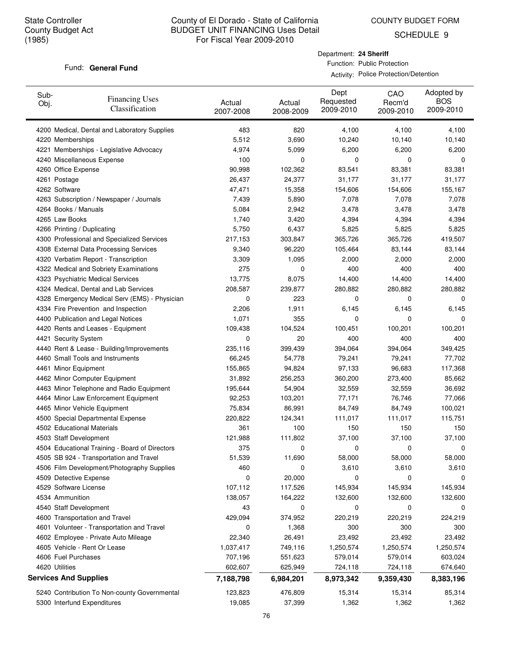COUNTY BUDGET FORM

SCHEDULE 9

#### Fund: General Fund

Department: **24 Sheriff** Function: Public Protection

Activity: Police Protection/Detention

| Sub-<br>Obj. | <b>Financing Uses</b><br>Classification        | Actual<br>2007-2008 | Actual<br>2008-2009 | Dept<br>Requested<br>2009-2010 | CAO<br>Recm'd<br>2009-2010 | Adopted by<br><b>BOS</b><br>2009-2010 |
|--------------|------------------------------------------------|---------------------|---------------------|--------------------------------|----------------------------|---------------------------------------|
|              | 4200 Medical, Dental and Laboratory Supplies   | 483                 | 820                 | 4,100                          | 4,100                      | 4,100                                 |
|              | 4220 Memberships                               | 5,512               | 3,690               | 10,240                         | 10,140                     | 10,140                                |
|              | 4221 Memberships - Legislative Advocacy        | 4,974               | 5,099               | 6,200                          | 6,200                      | 6,200                                 |
|              | 4240 Miscellaneous Expense                     | 100                 | 0                   | 0                              | 0                          | 0                                     |
|              | 4260 Office Expense                            | 90,998              | 102,362             | 83,541                         | 83,381                     | 83,381                                |
|              | 4261 Postage                                   | 26,437              | 24,377              | 31,177                         | 31,177                     | 31,177                                |
|              | 4262 Software                                  | 47,471              | 15,358              | 154,606                        | 154,606                    | 155,167                               |
|              | 4263 Subscription / Newspaper / Journals       | 7,439               | 5,890               | 7,078                          | 7,078                      | 7,078                                 |
|              | 4264 Books / Manuals                           | 5,084               | 2,942               | 3,478                          | 3,478                      | 3,478                                 |
|              | 4265 Law Books                                 | 1,740               | 3,420               | 4,394                          | 4,394                      | 4,394                                 |
|              | 4266 Printing / Duplicating                    | 5,750               | 6,437               | 5,825                          | 5,825                      | 5,825                                 |
|              | 4300 Professional and Specialized Services     | 217,153             | 303,847             | 365,726                        | 365,726                    | 419,507                               |
|              | 4308 External Data Processing Services         | 9,340               | 96,220              | 105,464                        | 83,144                     | 83,144                                |
|              | 4320 Verbatim Report - Transcription           | 3,309               | 1,095               | 2,000                          | 2,000                      | 2,000                                 |
|              | 4322 Medical and Sobriety Examinations         | 275                 | 0                   | 400                            | 400                        | 400                                   |
|              | 4323 Psychiatric Medical Services              | 13,775              | 8,075               | 14,400                         | 14,400                     | 14,400                                |
|              | 4324 Medical, Dental and Lab Services          | 208,587             | 239,877             | 280,882                        | 280,882                    | 280,882                               |
|              | 4328 Emergency Medical Serv (EMS) - Physician  | 0                   | 223                 | 0                              | 0                          | 0                                     |
|              | 4334 Fire Prevention and Inspection            | 2,206               | 1,911               | 6,145                          | 6,145                      | 6,145                                 |
|              | 4400 Publication and Legal Notices             | 1,071               | 355                 | 0                              | 0                          | 0                                     |
|              | 4420 Rents and Leases - Equipment              | 109,438             | 104,524             | 100,451                        | 100,201                    | 100,201                               |
|              | 4421 Security System                           | 0                   | 20                  | 400                            | 400                        | 400                                   |
|              | 4440 Rent & Lease - Building/Improvements      | 235,116             | 399,439             | 394,064                        | 394,064                    | 349,425                               |
|              | 4460 Small Tools and Instruments               | 66,245              | 54,778              | 79,241                         | 79,241                     | 77,702                                |
|              | 4461 Minor Equipment                           | 155,865             | 94,824              | 97,133                         | 96,683                     | 117,368                               |
|              | 4462 Minor Computer Equipment                  | 31,892              | 256,253             | 360,200                        | 273,400                    | 85,662                                |
|              | 4463 Minor Telephone and Radio Equipment       | 195,644             | 54,904              | 32,559                         | 32,559                     | 36,692                                |
|              | 4464 Minor Law Enforcement Equipment           | 92,253              | 103,201             | 77,171                         | 76,746                     | 77,066                                |
|              | 4465 Minor Vehicle Equipment                   | 75,834              | 86,991              | 84,749                         | 84,749                     | 100,021                               |
|              | 4500 Special Departmental Expense              | 220,822             | 124,341             | 111,017                        | 111,017                    | 115,751                               |
|              | 4502 Educational Materials                     | 361                 | 100                 | 150                            | 150                        | 150                                   |
|              | 4503 Staff Development                         | 121,988             | 111,802             | 37,100                         | 37,100                     | 37,100                                |
|              | 4504 Educational Training - Board of Directors | 375                 | 0                   | 0                              | 0                          | 0                                     |
|              | 4505 SB 924 - Transportation and Travel        | 51,539              | 11,690              | 58,000                         | 58,000                     | 58,000                                |
|              | 4506 Film Development/Photography Supplies     | 460                 | 0                   | 3,610                          | 3,610                      | 3,610                                 |
|              | 4509 Detective Expense                         | $\mathbf 0$         | 20,000              | 0                              | 0                          | 0                                     |
|              | 4529 Software License                          | 107,112             | 117,526             | 145,934                        | 145,934                    | 145,934                               |
|              | 4534 Ammunition                                | 138,057             | 164,222             | 132,600                        | 132,600                    | 132,600                               |
|              | 4540 Staff Development                         | 43                  | 0                   | 0                              | 0                          | 0                                     |
|              | 4600 Transportation and Travel                 | 429,094             | 374,952             | 220,219                        | 220,219                    | 224,219                               |
|              | 4601 Volunteer - Transportation and Travel     | 0                   | 1,368               | 300                            | 300                        | 300                                   |
|              | 4602 Employee - Private Auto Mileage           | 22,340              | 26,491              | 23,492                         | 23,492                     | 23,492                                |
|              | 4605 Vehicle - Rent Or Lease                   | 1,037,417           | 749,116             | 1,250,574                      | 1,250,574                  | 1,250,574                             |
|              | 4606 Fuel Purchases                            | 707,196             | 551,623             | 579,014                        | 579,014                    | 603,024                               |
|              | 4620 Utilities                                 | 602,607             | 625,949             | 724,118                        | 724,118                    | 674,640                               |
|              | <b>Services And Supplies</b>                   | 7,188,798           | 6,984,201           | 8,973,342                      | 9,359,430                  | 8,383,196                             |
|              | 5240 Contribution To Non-county Governmental   | 123,823             | 476,809             | 15,314                         | 15,314                     | 85,314                                |
|              | 5300 Interfund Expenditures                    | 19,085              | 37,399              | 1,362                          | 1,362                      | 1,362                                 |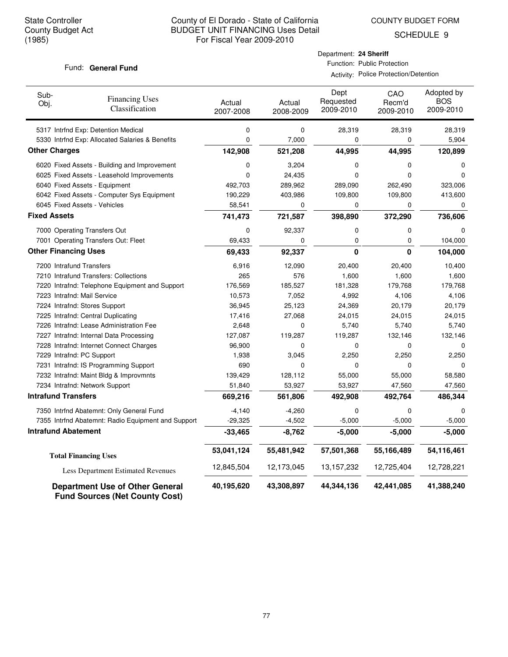COUNTY BUDGET FORM

SCHEDULE 9

#### Fund: General Fund

| Department: 24 Sheriff |                             |
|------------------------|-----------------------------|
|                        | Function: Public Protection |

Activity: Police Protection/Detention

| Sub-<br>Obj.                | <b>Financing Uses</b><br>Classification                                         | Actual<br>2007-2008 | Actual<br>2008-2009 | Dept<br>Requested<br>2009-2010 | CAO<br>Recm'd<br>2009-2010 | Adopted by<br><b>BOS</b><br>2009-2010 |
|-----------------------------|---------------------------------------------------------------------------------|---------------------|---------------------|--------------------------------|----------------------------|---------------------------------------|
|                             | 5317 Intrfnd Exp: Detention Medical                                             | 0                   | 0                   | 28,319                         | 28,319                     | 28,319                                |
|                             | 5330 Intrfnd Exp: Allocated Salaries & Benefits                                 | 0                   | 7,000               | 0                              | 0                          | 5,904                                 |
| <b>Other Charges</b>        |                                                                                 | 142,908             | 521,208             | 44,995                         | 44,995                     | 120,899                               |
|                             | 6020 Fixed Assets - Building and Improvement                                    | 0                   | 3,204               | 0                              | $\mathbf 0$                | 0                                     |
|                             | 6025 Fixed Assets - Leasehold Improvements                                      | 0                   | 24,435              | 0                              | $\Omega$                   | $\Omega$                              |
|                             | 6040 Fixed Assets - Equipment                                                   | 492,703             | 289,962             | 289,090                        | 262,490                    | 323,006                               |
|                             | 6042 Fixed Assets - Computer Sys Equipment                                      | 190,229             | 403,986             | 109,800                        | 109,800                    | 413,600                               |
|                             | 6045 Fixed Assets - Vehicles                                                    | 58,541              | 0                   | 0                              | 0                          | 0                                     |
| <b>Fixed Assets</b>         |                                                                                 | 741,473             | 721,587             | 398,890                        | 372,290                    | 736,606                               |
|                             | 7000 Operating Transfers Out                                                    | 0                   | 92,337              | 0                              | $\mathbf 0$                | $\mathbf 0$                           |
|                             | 7001 Operating Transfers Out: Fleet                                             | 69,433              | 0                   | 0                              | 0                          | 104,000                               |
| <b>Other Financing Uses</b> |                                                                                 | 69,433              | 92,337              | 0                              | $\mathbf{0}$               | 104,000                               |
| 7200 Intrafund Transfers    |                                                                                 | 6,916               | 12,090              | 20,400                         | 20,400                     | 10,400                                |
|                             | 7210 Intrafund Transfers: Collections                                           | 265                 | 576                 | 1,600                          | 1,600                      | 1,600                                 |
|                             | 7220 Intrafnd: Telephone Equipment and Support                                  | 176,569             | 185,527             | 181,328                        | 179,768                    | 179,768                               |
| 7223 Intrafnd: Mail Service |                                                                                 | 10,573              | 7,052               | 4,992                          | 4,106                      | 4,106                                 |
|                             | 7224 Intrafnd: Stores Support                                                   | 36,945              | 25,123              | 24,369                         | 20,179                     | 20,179                                |
|                             | 7225 Intrafnd: Central Duplicating                                              | 17,416              | 27,068              | 24,015                         | 24,015                     | 24,015                                |
|                             | 7226 Intrafnd: Lease Administration Fee                                         | 2,648               | 0                   | 5,740                          | 5,740                      | 5,740                                 |
|                             | 7227 Intrafnd: Internal Data Processing                                         | 127,087             | 119,287             | 119,287                        | 132,146                    | 132,146                               |
|                             | 7228 Intrafnd: Internet Connect Charges                                         | 96,900              | 0                   | 0                              | $\Omega$                   | $\Omega$                              |
| 7229 Intrafnd: PC Support   |                                                                                 | 1,938               | 3,045               | 2,250                          | 2,250                      | 2,250                                 |
|                             | 7231 Intrafnd: IS Programming Support                                           | 690                 | 0                   | 0                              | 0                          | 0                                     |
|                             | 7232 Intrafnd: Maint Bldg & Improvmnts                                          | 139,429             | 128,112             | 55,000                         | 55,000                     | 58,580                                |
|                             | 7234 Intrafnd: Network Support                                                  | 51,840              | 53,927              | 53,927                         | 47,560                     | 47,560                                |
| <b>Intrafund Transfers</b>  |                                                                                 | 669,216             | 561,806             | 492,908                        | 492,764                    | 486,344                               |
|                             | 7350 Intrfnd Abatemnt: Only General Fund                                        | $-4,140$            | $-4,260$            | 0                              | 0                          | $\Omega$                              |
|                             | 7355 Intrfnd Abatemnt: Radio Equipment and Support                              | $-29,325$           | $-4,502$            | $-5,000$                       | $-5,000$                   | $-5,000$                              |
| <b>Intrafund Abatement</b>  |                                                                                 | $-33,465$           | $-8,762$            | $-5,000$                       | $-5,000$                   | $-5,000$                              |
|                             | <b>Total Financing Uses</b>                                                     | 53,041,124          | 55,481,942          | 57,501,368                     | 55,166,489                 | 54,116,461                            |
|                             | Less Department Estimated Revenues                                              | 12,845,504          | 12,173,045          | 13,157,232                     | 12,725,404                 | 12,728,221                            |
|                             | <b>Department Use of Other General</b><br><b>Fund Sources (Net County Cost)</b> | 40,195,620          | 43,308,897          | 44,344,136                     | 42,441,085                 | 41,388,240                            |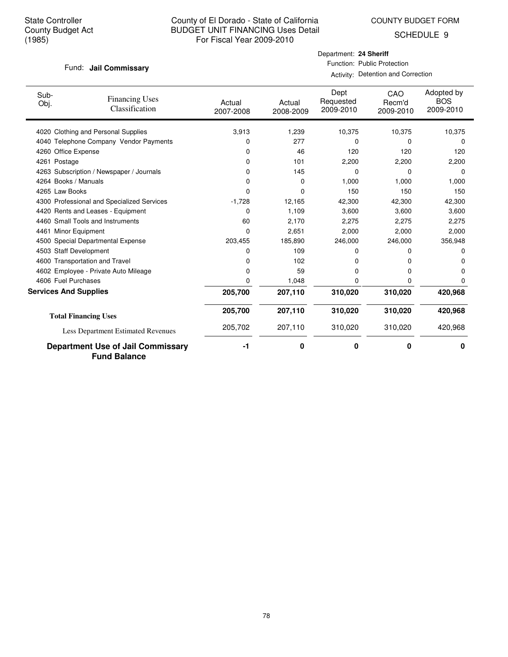COUNTY BUDGET FORM

SCHEDULE 9

#### Fund: Jail Commissary

Department: **24 Sheriff** Function: Public Protection

Activity: Detention and Correction

| Sub-<br>Obj. | <b>Financing Uses</b><br>Classification                         | Actual<br>2007-2008 | Actual<br>2008-2009 | Dept<br>Requested<br>2009-2010 | CAO<br>Recm'd<br>2009-2010 | Adopted by<br><b>BOS</b><br>2009-2010 |
|--------------|-----------------------------------------------------------------|---------------------|---------------------|--------------------------------|----------------------------|---------------------------------------|
|              | 4020 Clothing and Personal Supplies                             | 3,913               | 1,239               | 10,375                         | 10,375                     | 10,375                                |
| 4040         | Telephone Company Vendor Payments                               | 0                   | 277                 | 0                              | 0                          | 0                                     |
| 4260         | Office Expense                                                  | 0                   | 46                  | 120                            | 120                        | 120                                   |
|              | 4261 Postage                                                    | 0                   | 101                 | 2,200                          | 2,200                      | 2,200                                 |
| 4263         | Subscription / Newspaper / Journals                             | 0                   | 145                 | 0                              | 0                          | 0                                     |
|              | 4264 Books / Manuals                                            | 0                   | 0                   | 1,000                          | 1,000                      | 1,000                                 |
|              | 4265 Law Books                                                  | 0                   | 0                   | 150                            | 150                        | 150                                   |
|              | 4300 Professional and Specialized Services                      | $-1,728$            | 12,165              | 42,300                         | 42,300                     | 42,300                                |
|              | 4420 Rents and Leases - Equipment                               | 0                   | 1,109               | 3,600                          | 3,600                      | 3,600                                 |
|              | 4460 Small Tools and Instruments                                | 60                  | 2,170               | 2,275                          | 2,275                      | 2,275                                 |
|              | 4461 Minor Equipment                                            | 0                   | 2,651               | 2,000                          | 2,000                      | 2,000                                 |
|              | 4500 Special Departmental Expense                               | 203,455             | 185,890             | 246,000                        | 246,000                    | 356,948                               |
|              | 4503 Staff Development                                          | 0                   | 109                 | 0                              | o                          | O                                     |
|              | 4600 Transportation and Travel                                  | 0                   | 102                 | 0                              | 0                          | 0                                     |
|              | 4602 Employee - Private Auto Mileage                            | 0                   | 59                  | 0                              | 0                          | O                                     |
|              | 4606 Fuel Purchases                                             | 0                   | 1,048               | 0                              | 0                          | o                                     |
|              | <b>Services And Supplies</b>                                    | 205,700             | 207,110             | 310,020                        | 310,020                    | 420,968                               |
|              | <b>Total Financing Uses</b>                                     | 205,700             | 207,110             | 310,020                        | 310,020                    | 420,968                               |
|              | Less Department Estimated Revenues                              | 205,702             | 207,110             | 310,020                        | 310,020                    | 420,968                               |
|              | <b>Department Use of Jail Commissary</b><br><b>Fund Balance</b> | $-1$                | 0                   | 0                              | 0                          | 0                                     |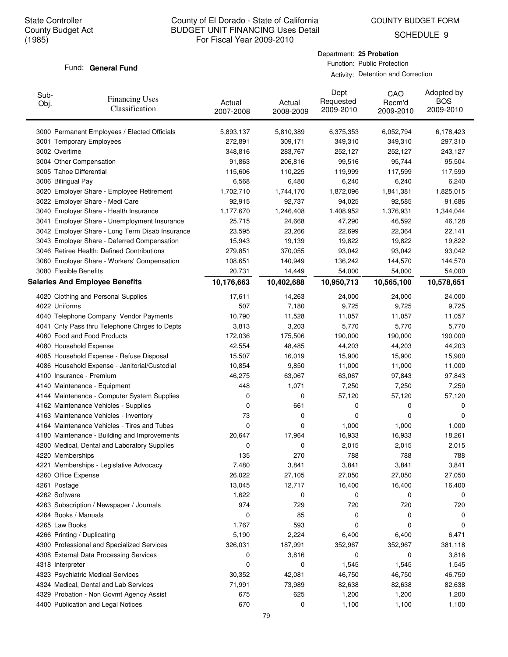COUNTY BUDGET FORM

SCHEDULE 9

#### Fund: General Fund

Department: **25 Probation** Function: Public Protection

Activity: Detention and Correction

| Sub-<br>Obj. | <b>Financing Uses</b><br>Classification         | Actual<br>2007-2008 | Actual<br>2008-2009 | Dept<br>Requested<br>2009-2010 | CAO<br>Recm'd<br>2009-2010 | Adopted by<br><b>BOS</b><br>2009-2010 |
|--------------|-------------------------------------------------|---------------------|---------------------|--------------------------------|----------------------------|---------------------------------------|
|              | 3000 Permanent Employees / Elected Officials    | 5,893,137           | 5,810,389           | 6,375,353                      | 6,052,794                  | 6,178,423                             |
|              | 3001 Temporary Employees                        | 272,891             | 309,171             | 349,310                        | 349,310                    | 297,310                               |
|              | 3002 Overtime                                   | 348,816             | 283,767             | 252,127                        | 252,127                    | 243,127                               |
|              | 3004 Other Compensation                         | 91,863              | 206,816             | 99,516                         | 95,744                     | 95,504                                |
|              | 3005 Tahoe Differential                         | 115,606             | 110,225             | 119,999                        | 117,599                    | 117,599                               |
|              | 3006 Bilingual Pay                              | 6,568               | 6,480               | 6,240                          | 6,240                      | 6,240                                 |
|              | 3020 Employer Share - Employee Retirement       | 1,702,710           | 1,744,170           | 1,872,096                      | 1,841,381                  | 1,825,015                             |
|              | 3022 Employer Share - Medi Care                 | 92,915              | 92,737              | 94,025                         | 92,585                     | 91,686                                |
|              | 3040 Employer Share - Health Insurance          | 1,177,670           | 1,246,408           | 1,408,952                      | 1,376,931                  | 1,344,044                             |
|              | 3041 Employer Share - Unemployment Insurance    | 25,715              | 24,668              | 47,290                         | 46,592                     | 46,128                                |
|              | 3042 Employer Share - Long Term Disab Insurance | 23,595              | 23,266              | 22,699                         | 22,364                     | 22,141                                |
|              | 3043 Employer Share - Deferred Compensation     | 15,943              | 19,139              | 19,822                         | 19,822                     | 19,822                                |
|              | 3046 Retiree Health: Defined Contributions      | 279,851             | 370,055             | 93,042                         | 93,042                     | 93,042                                |
|              | 3060 Employer Share - Workers' Compensation     | 108,651             | 140,949             | 136,242                        | 144,570                    | 144,570                               |
|              | 3080 Flexible Benefits                          | 20,731              | 14,449              | 54,000                         | 54,000                     | 54,000                                |
|              | <b>Salaries And Employee Benefits</b>           | 10,176,663          | 10,402,688          | 10,950,713                     | 10,565,100                 | 10,578,651                            |
|              | 4020 Clothing and Personal Supplies             | 17,611              | 14,263              | 24,000                         | 24,000                     | 24,000                                |
|              | 4022 Uniforms                                   | 507                 | 7,180               | 9,725                          | 9,725                      | 9,725                                 |
|              | 4040 Telephone Company Vendor Payments          | 10,790              | 11,528              | 11,057                         | 11,057                     | 11,057                                |
|              | 4041 Cnty Pass thru Telephone Chrges to Depts   | 3,813               | 3,203               | 5,770                          | 5,770                      | 5,770                                 |
|              | 4060 Food and Food Products                     | 172,036             | 175,506             | 190,000                        | 190,000                    | 190,000                               |
|              | 4080 Household Expense                          | 42,554              | 48,485              | 44,203                         | 44,203                     | 44,203                                |
|              | 4085 Household Expense - Refuse Disposal        | 15,507              | 16,019              | 15,900                         | 15,900                     | 15,900                                |
|              | 4086 Household Expense - Janitorial/Custodial   | 10,854              | 9,850               | 11,000                         | 11,000                     | 11,000                                |
|              | 4100 Insurance - Premium                        | 46,275              | 63,067              | 63,067                         | 97,843                     | 97,843                                |
|              | 4140 Maintenance - Equipment                    | 448                 | 1,071               | 7,250                          | 7,250                      | 7,250                                 |
|              | 4144 Maintenance - Computer System Supplies     | 0                   | 0                   | 57,120                         | 57,120                     | 57,120                                |
|              | 4162 Maintenance Vehicles - Supplies            | 0                   | 661                 | 0                              | 0                          | 0                                     |
|              | 4163 Maintenance Vehicles - Inventory           | 73                  | 0                   | 0                              | 0                          | 0                                     |
|              | 4164 Maintenance Vehicles - Tires and Tubes     | 0                   | 0                   | 1,000                          | 1,000                      | 1,000                                 |
|              | 4180 Maintenance - Building and Improvements    | 20,647              | 17,964              | 16,933                         | 16,933                     | 18,261                                |
|              | 4200 Medical, Dental and Laboratory Supplies    | 0                   | 0                   | 2,015                          | 2,015                      | 2,015                                 |
|              | 4220 Memberships                                | 135                 | 270                 | 788                            | 788                        | 788                                   |
|              | 4221 Memberships - Legislative Advocacy         | 7,480               | 3,841               | 3,841                          | 3,841                      | 3,841                                 |
|              | 4260 Office Expense                             | 26,022              | 27,105              | 27,050                         | 27,050                     | 27,050                                |
|              | 4261 Postage                                    | 13,045              | 12,717              | 16,400                         | 16,400                     | 16,400                                |
|              | 4262 Software                                   | 1,622               | 0                   | 0                              | 0                          | 0                                     |
|              | 4263 Subscription / Newspaper / Journals        | 974                 | 729                 | 720                            | 720                        | 720                                   |
|              | 4264 Books / Manuals                            | 0                   | 85                  | 0                              | 0                          | 0                                     |
|              | 4265 Law Books                                  | 1,767               | 593                 | 0                              | 0                          | 0                                     |
|              | 4266 Printing / Duplicating                     | 5,190               | 2,224               | 6,400                          | 6,400                      | 6,471                                 |
|              | 4300 Professional and Specialized Services      | 326,031             | 187,991             | 352,967                        | 352,967                    | 381,118                               |
|              | 4308 External Data Processing Services          | 0                   | 3,816               | 0                              | 0                          | 3,816                                 |
|              | 4318 Interpreter                                | 0                   | 0                   | 1,545                          | 1,545                      | 1,545                                 |
|              | 4323 Psychiatric Medical Services               | 30,352              | 42,081              | 46,750                         | 46,750                     | 46,750                                |
|              | 4324 Medical, Dental and Lab Services           | 71,991              | 73,989              | 82,638                         | 82,638                     | 82,638                                |
|              | 4329 Probation - Non Govmt Agency Assist        | 675                 | 625                 | 1,200                          | 1,200                      | 1,200                                 |
|              | 4400 Publication and Legal Notices              | 670                 | 0                   | 1,100                          | 1,100                      | 1,100                                 |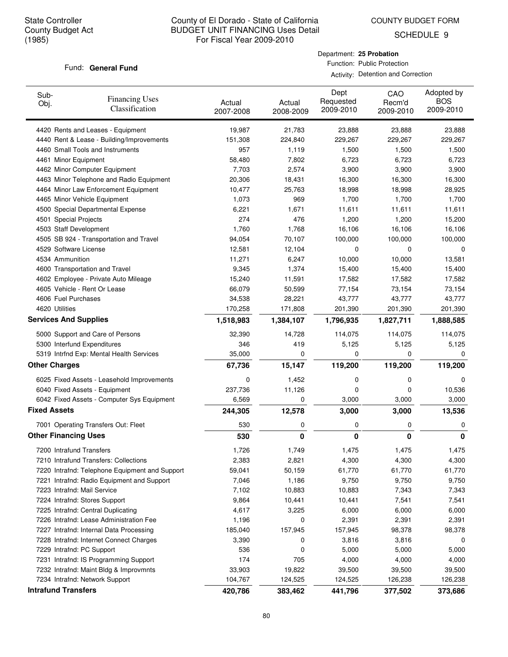Department: **25 Probation** Function: Public Protection

Activity: Detention and Correction

SCHEDULE 9

### Fund: General Fund

| Sub-<br>Obj.                 | <b>Financing Uses</b><br>Classification                                  | Actual<br>2007-2008 | Actual<br>2008-2009 | Dept<br>Requested<br>2009-2010 | CAO<br>Recm'd<br>2009-2010 | Adopted by<br><b>BOS</b><br>2009-2010 |
|------------------------------|--------------------------------------------------------------------------|---------------------|---------------------|--------------------------------|----------------------------|---------------------------------------|
|                              | 4420 Rents and Leases - Equipment                                        | 19,987              | 21,783              | 23,888                         | 23,888                     | 23,888                                |
|                              | 4440 Rent & Lease - Building/Improvements                                | 151,308             | 224,840             | 229,267                        | 229,267                    | 229,267                               |
|                              | 4460 Small Tools and Instruments                                         | 957                 | 1,119               | 1,500                          | 1,500                      | 1,500                                 |
| 4461 Minor Equipment         |                                                                          | 58,480              | 7,802               | 6,723                          | 6,723                      | 6,723                                 |
|                              | 4462 Minor Computer Equipment                                            | 7,703               | 2,574               | 3,900                          | 3,900                      | 3,900                                 |
|                              | 4463 Minor Telephone and Radio Equipment                                 | 20,306              | 18,431              | 16,300                         | 16,300                     | 16,300                                |
|                              | 4464 Minor Law Enforcement Equipment                                     | 10,477              | 25,763              | 18,998                         | 18,998                     | 28,925                                |
|                              | 4465 Minor Vehicle Equipment                                             | 1,073               | 969                 | 1,700                          | 1,700                      | 1,700                                 |
|                              | 4500 Special Departmental Expense                                        | 6,221               | 1,671               | 11,611                         | 11,611                     | 11,611                                |
| 4501 Special Projects        |                                                                          | 274                 | 476                 | 1,200                          | 1,200                      | 15,200                                |
| 4503 Staff Development       |                                                                          | 1,760               | 1,768               | 16,106                         | 16,106                     | 16,106                                |
|                              | 4505 SB 924 - Transportation and Travel                                  | 94,054              | 70,107              | 100,000                        | 100,000                    | 100,000                               |
| 4529 Software License        |                                                                          | 12,581              | 12,104              | 0                              | 0                          | 0                                     |
| 4534 Ammunition              |                                                                          | 11,271              | 6,247               | 10,000                         | 10,000                     | 13,581                                |
|                              | 4600 Transportation and Travel                                           | 9,345               | 1,374               | 15,400                         | 15,400                     | 15,400                                |
|                              | 4602 Employee - Private Auto Mileage                                     | 15,240              | 11,591              | 17,582                         | 17,582                     | 17,582                                |
|                              | 4605 Vehicle - Rent Or Lease                                             | 66,079              | 50,599              | 77,154                         | 73,154                     | 73,154                                |
| 4606 Fuel Purchases          |                                                                          | 34,538              | 28,221              | 43,777                         | 43,777                     | 43,777                                |
| 4620 Utilities               |                                                                          | 170,258             | 171,808             | 201,390                        | 201,390                    | 201,390                               |
| <b>Services And Supplies</b> |                                                                          | 1,518,983           | 1,384,107           | 1,796,935                      | 1,827,711                  | 1,888,585                             |
|                              | 5000 Support and Care of Persons                                         | 32,390              | 14,728              | 114,075                        | 114,075                    | 114,075                               |
|                              | 5300 Interfund Expenditures                                              | 346                 | 419                 | 5,125                          | 5,125                      | 5,125                                 |
|                              | 5319 Intrfnd Exp: Mental Health Services                                 | 35,000              | 0                   | 0                              | 0                          | 0                                     |
| <b>Other Charges</b>         |                                                                          | 67,736              | 15,147              | 119,200                        | 119,200                    | 119,200                               |
|                              | 6025 Fixed Assets - Leasehold Improvements                               | 0                   | 1,452               | 0                              | 0                          | 0                                     |
|                              | 6040 Fixed Assets - Equipment                                            | 237,736             | 11,126              | 0                              | 0                          | 10,536                                |
|                              | 6042 Fixed Assets - Computer Sys Equipment                               | 6,569               | 0                   | 3,000                          | 3,000                      | 3,000                                 |
| <b>Fixed Assets</b>          |                                                                          | 244,305             | 12,578              | 3,000                          | 3,000                      | 13,536                                |
|                              | 7001 Operating Transfers Out: Fleet                                      | 530                 | 0                   | 0                              | 0                          | 0                                     |
| <b>Other Financing Uses</b>  |                                                                          | 530                 | 0                   | 0                              | 0                          | 0                                     |
|                              |                                                                          |                     |                     |                                |                            |                                       |
| 7200 Intrafund Transfers     |                                                                          | 1,726               | 1,749               | 1,475                          | 1,475                      | 1,475                                 |
|                              | 7210 Intrafund Transfers: Collections                                    | 2,383               | 2,821               | 4,300                          | 4,300                      | 4,300                                 |
|                              | 7220 Intrafnd: Telephone Equipment and Support                           | 59,041              | 50,159              | 61,770                         | 61,770                     | 61,770                                |
|                              | 7221 Intrafnd: Radio Equipment and Support                               | 7,046               | 1,186               | 9,750                          | 9,750                      | 9,750                                 |
| 7223 Intrafnd: Mail Service  |                                                                          | 7,102               | 10,883              | 10,883                         | 7,343                      | 7,343                                 |
|                              | 7224 Intrafnd: Stores Support                                            | 9,864               | 10,441              | 10,441                         | 7,541                      | 7,541                                 |
|                              | 7225 Intrafnd: Central Duplicating                                       | 4,617               | 3,225               | 6,000                          | 6,000                      | 6,000                                 |
|                              | 7226 Intrafnd: Lease Administration Fee                                  | 1,196               | 0                   | 2,391                          | 2,391                      | 2,391                                 |
|                              | 7227 Intrafnd: Internal Data Processing                                  | 185,040             | 157,945             | 157,945                        | 98,378                     | 98,378                                |
|                              | 7228 Intrafnd: Internet Connect Charges                                  | 3,390<br>536        | 0                   | 3,816                          | 3,816                      | 0                                     |
| 7229 Intrafnd: PC Support    |                                                                          | 174                 | 0<br>705            | 5,000                          | 5,000                      | 5,000                                 |
|                              | 7231 Intrafnd: IS Programming Support                                    |                     |                     | 4,000                          | 4,000                      | 4,000                                 |
|                              | 7232 Intrafnd: Maint Bldg & Improvmnts<br>7234 Intrafnd: Network Support | 33,903<br>104,767   | 19,822<br>124,525   | 39,500<br>124,525              | 39,500<br>126,238          | 39,500<br>126,238                     |
| <b>Intrafund Transfers</b>   |                                                                          | 420,786             | 383,462             | 441,796                        | 377,502                    | 373,686                               |
|                              |                                                                          |                     |                     |                                |                            |                                       |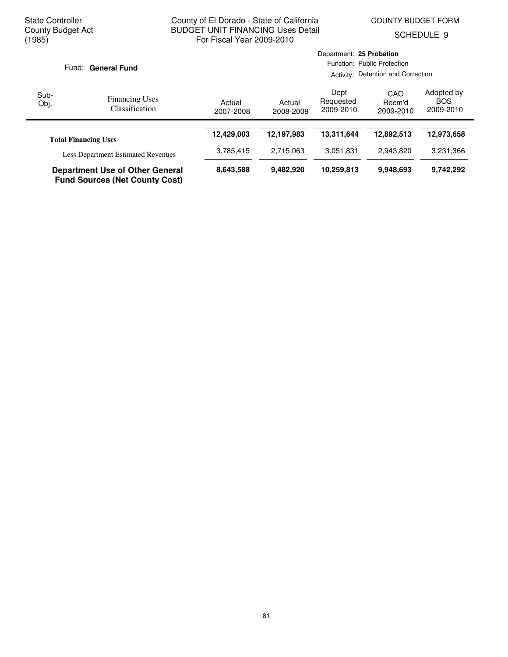COUNTY BUDGET FORM

Department: **25 Probation**

SCHEDULE 9

| Fund: General Fund                                                              |                                                | Function: Public Protection<br>Activity: Detention and Correction |                     |                                |                            |                                       |
|---------------------------------------------------------------------------------|------------------------------------------------|-------------------------------------------------------------------|---------------------|--------------------------------|----------------------------|---------------------------------------|
| Sub-<br>Obj.                                                                    | <b>Financing Uses</b><br><b>Classification</b> | Actual<br>2007-2008                                               | Actual<br>2008-2009 | Dept<br>Requested<br>2009-2010 | CAO<br>Recm'd<br>2009-2010 | Adopted by<br><b>BOS</b><br>2009-2010 |
|                                                                                 |                                                |                                                                   | 12,197,983          | 13.311.644                     | 12,892,513                 | 12,973,658                            |
| <b>Total Financing Uses</b><br><b>Less Department Estimated Revenues</b>        |                                                | 3,785,415                                                         | 2,715,063           | 3.051.831                      | 2.943.820                  | 3,231,366                             |
| <b>Department Use of Other General</b><br><b>Fund Sources (Net County Cost)</b> |                                                | 8,643,588                                                         | 9,482,920           | 10,259,813                     | 9,948,693                  | 9,742,292                             |

# 81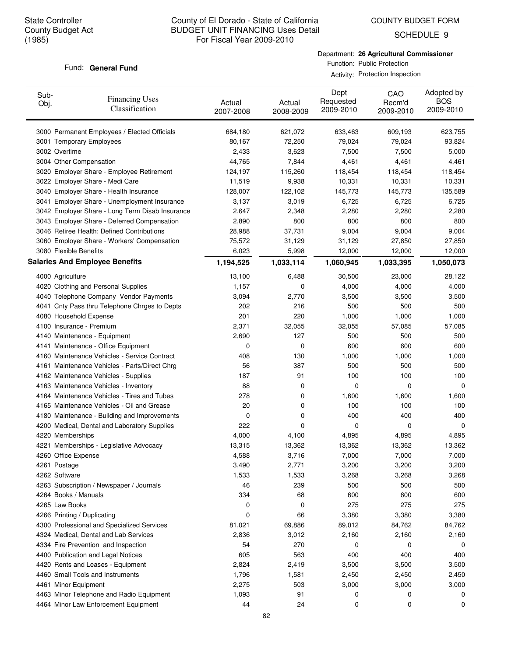COUNTY BUDGET FORM

SCHEDULE 9

#### Fund: General Fund

Department: **26 Agricultural Commissioner** Function: Public Protection Activity: Protection Inspection

| Sub-<br>Obj. | <b>Financing Uses</b><br>Classification         | Actual<br>2007-2008 | Actual<br>2008-2009 | Dept<br>Requested<br>2009-2010 | CAO<br>Recm'd<br>2009-2010 | Adopted by<br><b>BOS</b><br>2009-2010 |
|--------------|-------------------------------------------------|---------------------|---------------------|--------------------------------|----------------------------|---------------------------------------|
|              | 3000 Permanent Employees / Elected Officials    | 684,180             | 621,072             | 633,463                        | 609,193                    | 623,755                               |
|              | 3001 Temporary Employees                        | 80,167              | 72,250              | 79,024                         | 79,024                     | 93,824                                |
|              | 3002 Overtime                                   | 2,433               | 3,623               | 7,500                          | 7,500                      | 5,000                                 |
|              | 3004 Other Compensation                         | 44,765              | 7,844               | 4,461                          | 4,461                      | 4,461                                 |
|              | 3020 Employer Share - Employee Retirement       | 124,197             | 115,260             | 118,454                        | 118,454                    | 118,454                               |
|              | 3022 Employer Share - Medi Care                 | 11,519              | 9,938               | 10,331                         | 10,331                     | 10,331                                |
|              | 3040 Employer Share - Health Insurance          | 128,007             | 122,102             | 145,773                        | 145,773                    | 135,589                               |
|              | 3041 Employer Share - Unemployment Insurance    | 3,137               | 3,019               | 6,725                          | 6,725                      | 6,725                                 |
|              | 3042 Employer Share - Long Term Disab Insurance | 2,647               | 2,348               | 2,280                          | 2,280                      | 2,280                                 |
|              | 3043 Employer Share - Deferred Compensation     | 2,890               | 800                 | 800                            | 800                        | 800                                   |
|              | 3046 Retiree Health: Defined Contributions      | 28,988              | 37,731              | 9,004                          | 9,004                      | 9,004                                 |
|              | 3060 Employer Share - Workers' Compensation     | 75,572              | 31,129              | 31,129                         | 27,850                     | 27,850                                |
|              | 3080 Flexible Benefits                          | 6,023               | 5,998               | 12,000                         | 12,000                     | 12,000                                |
|              | <b>Salaries And Employee Benefits</b>           | 1,194,525           | 1,033,114           | 1,060,945                      | 1,033,395                  | 1,050,073                             |
|              | 4000 Agriculture                                | 13,100              | 6,488               | 30,500                         | 23,000                     | 28,122                                |
|              | 4020 Clothing and Personal Supplies             | 1,157               | 0                   | 4,000                          | 4,000                      | 4,000                                 |
|              | 4040 Telephone Company Vendor Payments          | 3,094               | 2,770               | 3,500                          | 3,500                      | 3,500                                 |
|              | 4041 Cnty Pass thru Telephone Chrges to Depts   | 202                 | 216                 | 500                            | 500                        | 500                                   |
|              | 4080 Household Expense                          | 201                 | 220                 | 1,000                          | 1,000                      | 1,000                                 |
|              | 4100 Insurance - Premium                        | 2,371               | 32,055              | 32,055                         | 57,085                     | 57,085                                |
|              | 4140 Maintenance - Equipment                    | 2,690               | 127                 | 500                            | 500                        | 500                                   |
|              | 4141 Maintenance - Office Equipment             | 0                   | 0                   | 600                            | 600                        | 600                                   |
|              | 4160 Maintenance Vehicles - Service Contract    | 408                 | 130                 | 1,000                          | 1,000                      | 1,000                                 |
|              | 4161 Maintenance Vehicles - Parts/Direct Chrg   | 56                  | 387                 | 500                            | 500                        | 500                                   |
|              | 4162 Maintenance Vehicles - Supplies            | 187                 | 91                  | 100                            | 100                        | 100                                   |
|              | 4163 Maintenance Vehicles - Inventory           | 88                  | 0                   | 0                              | 0                          | 0                                     |
|              | 4164 Maintenance Vehicles - Tires and Tubes     | 278                 | 0                   | 1,600                          | 1,600                      | 1,600                                 |
|              | 4165 Maintenance Vehicles - Oil and Grease      | 20                  | 0                   | 100                            | 100                        | 100                                   |
|              | 4180 Maintenance - Building and Improvements    | 0                   | 0                   | 400                            | 400                        | 400                                   |
|              | 4200 Medical, Dental and Laboratory Supplies    | 222                 | 0                   | 0                              | 0                          | 0                                     |
|              | 4220 Memberships                                | 4,000               | 4,100               | 4,895                          | 4,895                      | 4,895                                 |
|              | 4221 Memberships - Legislative Advocacy         | 13,315              | 13,362              | 13,362                         | 13,362                     | 13,362                                |
|              | 4260 Office Expense                             | 4,588               | 3,716               | 7,000                          | 7,000                      | 7,000                                 |
|              | 4261 Postage                                    | 3,490               | 2,771               | 3,200                          | 3,200                      | 3,200                                 |
|              | 4262 Software                                   | 1,533               | 1,533               | 3,268                          | 3,268                      | 3,268                                 |
|              | 4263 Subscription / Newspaper / Journals        | 46                  | 239                 | 500                            | 500                        | 500                                   |
|              | 4264 Books / Manuals                            | 334                 | 68                  | 600                            | 600                        | 600                                   |
|              | 4265 Law Books                                  | 0                   | 0                   | 275                            | 275                        | 275                                   |
|              | 4266 Printing / Duplicating                     | 0                   | 66                  | 3,380                          | 3,380                      | 3,380                                 |
|              | 4300 Professional and Specialized Services      | 81,021              | 69,886              | 89,012                         | 84,762                     | 84,762                                |
|              | 4324 Medical, Dental and Lab Services           | 2,836               | 3,012               | 2,160                          | 2,160                      | 2,160                                 |
|              | 4334 Fire Prevention and Inspection             | 54                  | 270                 | 0                              | 0                          | 0                                     |
|              | 4400 Publication and Legal Notices              | 605                 | 563                 | 400                            | 400                        | 400                                   |
|              | 4420 Rents and Leases - Equipment               | 2,824               | 2,419               | 3,500                          | 3,500                      | 3,500                                 |
|              | 4460 Small Tools and Instruments                | 1,796               | 1,581               | 2,450                          | 2,450                      | 2,450                                 |
|              | 4461 Minor Equipment                            | 2,275               | 503                 | 3,000                          | 3,000                      | 3,000                                 |
|              | 4463 Minor Telephone and Radio Equipment        | 1,093               | 91                  | 0                              | 0                          | 0                                     |
|              | 4464 Minor Law Enforcement Equipment            | 44                  | 24                  | 0                              | 0                          | 0                                     |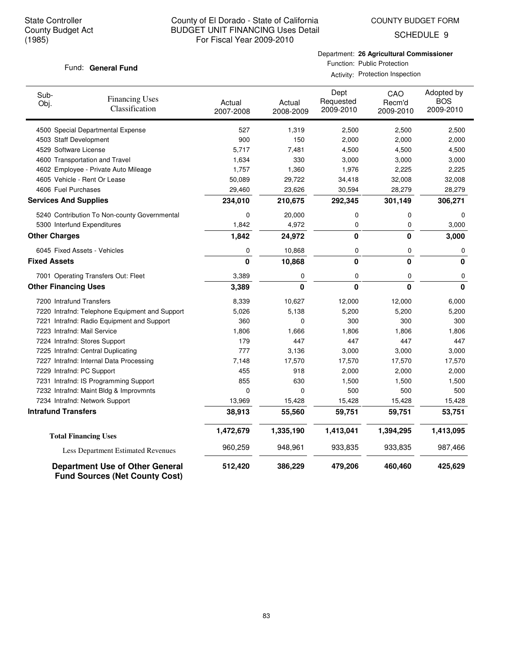COUNTY BUDGET FORM

SCHEDULE 9

### Fund: General Fund

Department: **26 Agricultural Commissioner** Function: Public Protection

Activity: Protection Inspection

| Sub-<br>Obj.         | <b>Financing Uses</b><br>Classification                                         | Actual<br>2007-2008 | Actual<br>2008-2009 | Dept<br>Requested<br>2009-2010 | CAO<br>Recm'd<br>2009-2010 | Adopted by<br><b>BOS</b><br>2009-2010 |
|----------------------|---------------------------------------------------------------------------------|---------------------|---------------------|--------------------------------|----------------------------|---------------------------------------|
|                      | 4500 Special Departmental Expense                                               | 527                 | 1,319               | 2,500                          | 2,500                      | 2,500                                 |
|                      | 4503 Staff Development                                                          | 900                 | 150                 | 2,000                          | 2,000                      | 2,000                                 |
|                      | 4529 Software License                                                           | 5,717               | 7,481               | 4,500                          | 4,500                      | 4,500                                 |
|                      | 4600 Transportation and Travel                                                  | 1,634               | 330                 | 3,000                          | 3,000                      | 3,000                                 |
|                      | 4602 Employee - Private Auto Mileage                                            | 1,757               | 1,360               | 1,976                          | 2,225                      | 2,225                                 |
|                      | 4605 Vehicle - Rent Or Lease                                                    | 50,089              | 29,722              | 34,418                         | 32,008                     | 32,008                                |
|                      | 4606 Fuel Purchases                                                             | 29,460              | 23,626              | 30,594                         | 28,279                     | 28,279                                |
|                      | <b>Services And Supplies</b>                                                    | 234,010             | 210,675             | 292,345                        | 301,149                    | 306,271                               |
|                      | 5240 Contribution To Non-county Governmental                                    | 0                   | 20,000              | 0                              | 0                          | 0                                     |
|                      | 5300 Interfund Expenditures                                                     | 1,842               | 4,972               | 0                              | 0                          | 3,000                                 |
| <b>Other Charges</b> |                                                                                 | 1,842               | 24,972              | $\mathbf{0}$                   | 0                          | 3,000                                 |
|                      | 6045 Fixed Assets - Vehicles                                                    | 0                   | 10,868              | 0                              | 0                          | 0                                     |
| <b>Fixed Assets</b>  |                                                                                 | 0                   | 10,868              | $\mathbf{0}$                   | $\bf{0}$                   | 0                                     |
|                      | 7001 Operating Transfers Out: Fleet                                             | 3,389               | 0                   | 0                              | 0                          | 0                                     |
|                      | <b>Other Financing Uses</b>                                                     | 3,389               | $\mathbf 0$         | $\mathbf 0$                    | $\mathbf{0}$               | 0                                     |
|                      | 7200 Intrafund Transfers                                                        | 8,339               | 10,627              | 12,000                         | 12,000                     | 6,000                                 |
|                      | 7220 Intrafnd: Telephone Equipment and Support                                  | 5,026               | 5,138               | 5,200                          | 5,200                      | 5,200                                 |
|                      | 7221 Intrafnd: Radio Equipment and Support                                      | 360                 | 0                   | 300                            | 300                        | 300                                   |
|                      | 7223 Intrafnd: Mail Service                                                     | 1,806               | 1,666               | 1,806                          | 1,806                      | 1,806                                 |
|                      | 7224 Intrafnd: Stores Support                                                   | 179                 | 447                 | 447                            | 447                        | 447                                   |
|                      | 7225 Intrafnd: Central Duplicating                                              | 777                 | 3,136               | 3,000                          | 3,000                      | 3,000                                 |
|                      | 7227 Intrafnd: Internal Data Processing                                         | 7,148               | 17,570              | 17,570                         | 17,570                     | 17,570                                |
|                      | 7229 Intrafnd: PC Support                                                       | 455                 | 918                 | 2,000                          | 2,000                      | 2,000                                 |
|                      | 7231 Intrafnd: IS Programming Support                                           | 855                 | 630                 | 1,500                          | 1,500                      | 1,500                                 |
|                      | 7232 Intrafnd: Maint Bldg & Improvmnts                                          | 0                   | 0                   | 500                            | 500                        | 500                                   |
|                      | 7234 Intrafnd: Network Support                                                  | 13,969              | 15,428              | 15,428                         | 15,428                     | 15,428                                |
|                      | <b>Intrafund Transfers</b>                                                      | 38,913              | 55,560              | 59,751                         | 59,751                     | 53,751                                |
|                      | <b>Total Financing Uses</b>                                                     | 1,472,679           | 1,335,190           | 1,413,041                      | 1,394,295                  | 1,413,095                             |
|                      | Less Department Estimated Revenues                                              | 960,259             | 948,961             | 933,835                        | 933,835                    | 987,466                               |
|                      | <b>Department Use of Other General</b><br><b>Fund Sources (Net County Cost)</b> | 512,420             | 386,229             | 479,206                        | 460,460                    | 425,629                               |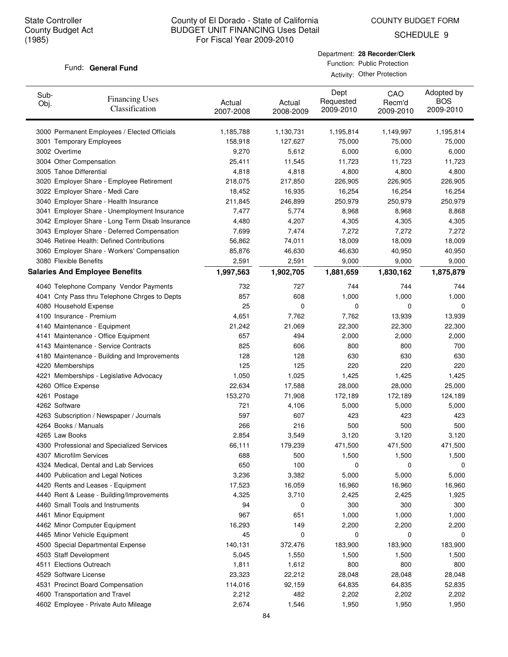COUNTY BUDGET FORM

SCHEDULE 9

#### Fund: General Fund

| Department: 28 Recorder/Clerk |
|-------------------------------|
| Function: Public Protection   |

Activity: Other Protection

| Sub-<br>Obj. | <b>Financing Uses</b><br>Classification         | Actual<br>2007-2008 | Actual<br>2008-2009 | Dept<br>Requested<br>2009-2010 | CAO<br>Recm'd<br>2009-2010 | Adopted by<br><b>BOS</b><br>2009-2010 |
|--------------|-------------------------------------------------|---------------------|---------------------|--------------------------------|----------------------------|---------------------------------------|
|              | 3000 Permanent Employees / Elected Officials    | 1,185,788           | 1,130,731           | 1,195,814                      | 1,149,997                  | 1,195,814                             |
|              | 3001 Temporary Employees                        | 158,918             | 127,627             | 75,000                         | 75,000                     | 75,000                                |
|              | 3002 Overtime                                   | 9,270               | 5,612               | 6,000                          | 6,000                      | 6,000                                 |
|              | 3004 Other Compensation                         | 25,411              | 11,545              | 11,723                         | 11,723                     | 11,723                                |
|              | 3005 Tahoe Differential                         | 4,818               | 4,818               | 4,800                          | 4,800                      | 4,800                                 |
|              | 3020 Employer Share - Employee Retirement       | 218,075             | 217,850             | 226,905                        | 226,905                    | 226,905                               |
|              | 3022 Employer Share - Medi Care                 | 18,452              | 16,935              | 16,254                         | 16,254                     | 16,254                                |
|              | 3040 Employer Share - Health Insurance          | 211,845             | 246,899             | 250,979                        | 250,979                    | 250,979                               |
|              | 3041 Employer Share - Unemployment Insurance    | 7,477               | 5,774               | 8,968                          | 8,968                      | 8,868                                 |
|              | 3042 Employer Share - Long Term Disab Insurance | 4,480               | 4,207               | 4,305                          | 4,305                      | 4,305                                 |
|              | 3043 Employer Share - Deferred Compensation     | 7,699               | 7,474               | 7,272                          | 7,272                      | 7,272                                 |
|              | 3046 Retiree Health: Defined Contributions      | 56,862              | 74,011              | 18,009                         | 18,009                     | 18,009                                |
|              | 3060 Employer Share - Workers' Compensation     | 85,876              | 46,630              | 46,630                         | 40,950                     | 40,950                                |
|              | 3080 Flexible Benefits                          | 2,591               | 2,591               | 9,000                          | 9,000                      | 9,000                                 |
|              | <b>Salaries And Employee Benefits</b>           | 1,997,563           | 1,902,705           | 1,881,659                      | 1,830,162                  | 1,875,879                             |
|              | 4040 Telephone Company Vendor Payments          | 732                 | 727                 | 744                            | 744                        | 744                                   |
|              | 4041 Cnty Pass thru Telephone Chrges to Depts   | 857                 | 608                 | 1,000                          | 1,000                      | 1,000                                 |
|              | 4080 Household Expense                          | 25                  | 0                   | 0                              | $\mathbf 0$                | 0                                     |
|              | 4100 Insurance - Premium                        | 4,651               | 7,762               | 7,762                          | 13,939                     | 13,939                                |
|              | 4140 Maintenance - Equipment                    | 21,242              | 21,069              | 22,300                         | 22,300                     | 22,300                                |
|              | 4141 Maintenance - Office Equipment             | 657                 | 494                 | 2,000                          | 2,000                      | 2,000                                 |
|              | 4143 Maintenance - Service Contracts            | 825                 | 606                 | 800                            | 800                        | 700                                   |
|              | 4180 Maintenance - Building and Improvements    | 128                 | 128                 | 630                            | 630                        | 630                                   |
|              | 4220 Memberships                                | 125                 | 125                 | 220                            | 220                        | 220                                   |
|              | 4221 Memberships - Legislative Advocacy         | 1,050               | 1,025               | 1,425                          | 1,425                      | 1,425                                 |
|              | 4260 Office Expense                             | 22,634              | 17,588              | 28,000                         | 28,000                     | 25,000                                |
|              | 4261 Postage                                    | 153,270             | 71,908              | 172,189                        | 172,189                    | 124,189                               |
|              | 4262 Software                                   | 721                 | 4,106               | 5,000                          | 5,000                      | 5,000                                 |
|              | 4263 Subscription / Newspaper / Journals        | 597                 | 607                 | 423                            | 423                        | 423                                   |
|              | 4264 Books / Manuals                            | 266                 | 216                 | 500                            | 500                        | 500                                   |
|              | 4265 Law Books                                  | 2,854               | 3,549               | 3,120                          | 3,120                      | 3,120                                 |
|              | 4300 Professional and Specialized Services      | 66,111              | 179,239             | 471,500                        | 471,500                    | 471,500                               |
|              | 4307 Microfilm Services                         | 688                 | 500                 | 1,500                          | 1,500                      | 1,500                                 |
|              | 4324 Medical, Dental and Lab Services           | 650                 | 100                 | 0                              | 0                          | 0                                     |
|              | 4400 Publication and Legal Notices              | 3,236               | 3,382               | 5,000                          | 5,000                      | 5,000                                 |
|              | 4420 Rents and Leases - Equipment               | 17,523              | 16,059              | 16,960                         | 16,960                     | 16,960                                |
|              | 4440 Rent & Lease - Building/Improvements       | 4,325               | 3,710               | 2,425                          | 2,425                      | 1,925                                 |
|              | 4460 Small Tools and Instruments                | 94                  | 0                   | 300                            | 300                        | 300                                   |
|              | 4461 Minor Equipment                            | 967                 | 651                 | 1,000                          | 1,000                      | 1,000                                 |
|              | 4462 Minor Computer Equipment                   | 16,293              | 149                 | 2,200                          | 2,200                      | 2,200                                 |
|              | 4465 Minor Vehicle Equipment                    | 45                  | 0                   | 0                              | 0                          | 0                                     |
|              | 4500 Special Departmental Expense               | 140,131             | 372,476             | 183,900                        | 183,900                    | 183,900                               |
|              | 4503 Staff Development                          | 5,045               | 1,550               | 1,500                          | 1,500                      | 1,500                                 |
|              | 4511 Elections Outreach                         | 1,811               | 1,612               | 800                            | 800                        | 800                                   |
|              | 4529 Software License                           | 23,323              | 22,212              | 28,048                         | 28,048                     | 28,048                                |
|              | 4531 Precinct Board Compensation                | 114,016             | 92,159              | 64,835                         | 64,835                     | 52,835                                |
|              | 4600 Transportation and Travel                  | 2,212               | 482                 | 2,202                          | 2,202                      | 2,202                                 |
|              | 4602 Employee - Private Auto Mileage            | 2,674               | 1,546               | 1,950                          | 1,950                      | 1,950                                 |